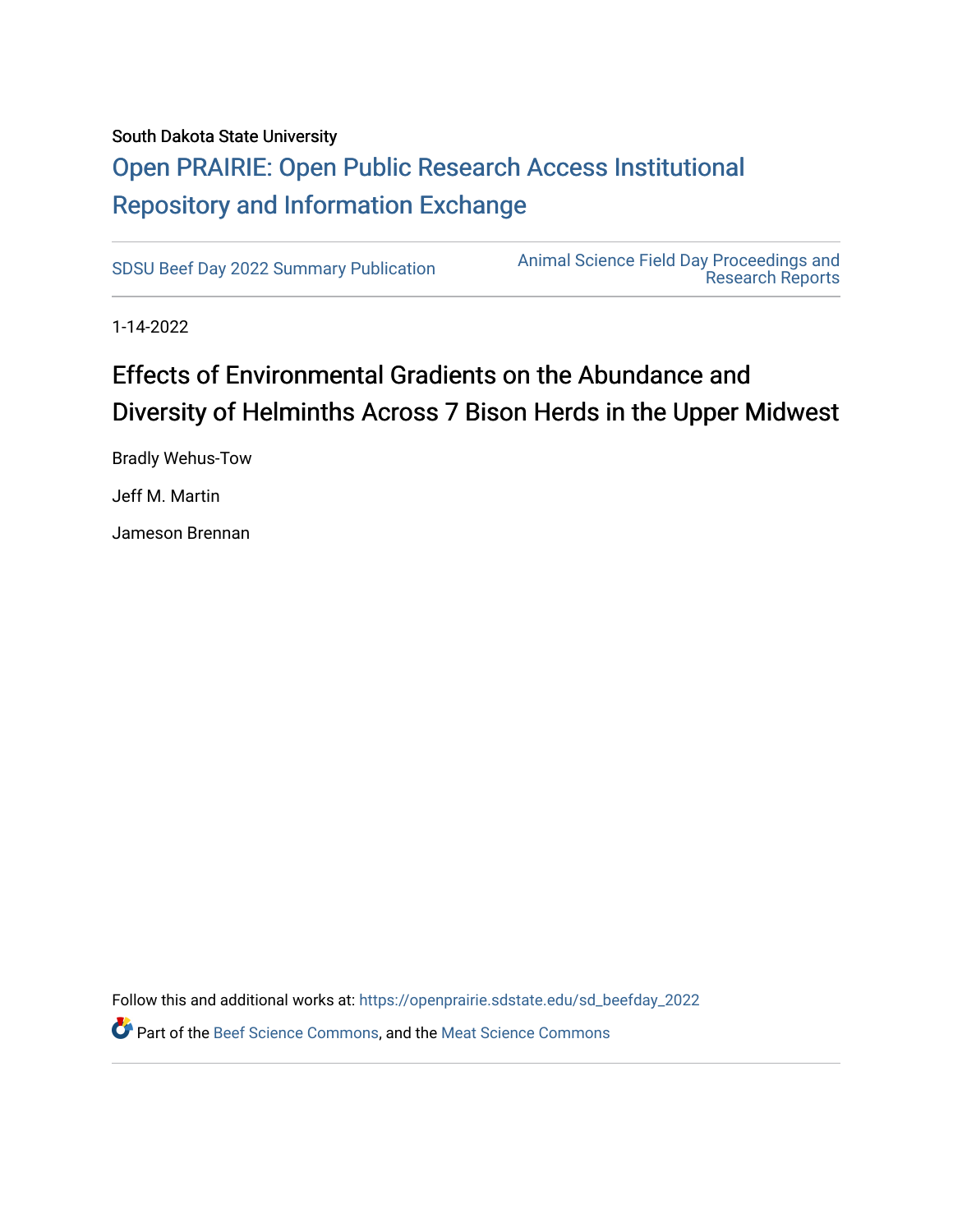#### South Dakota State University

## [Open PRAIRIE: Open Public Research Access Institutional](https://openprairie.sdstate.edu/)  [Repository and Information Exchange](https://openprairie.sdstate.edu/)

[SDSU Beef Day 2022 Summary Publication](https://openprairie.sdstate.edu/sd_beefday_2022) [Animal Science Field Day Proceedings and](https://openprairie.sdstate.edu/ans_reports)  [Research Reports](https://openprairie.sdstate.edu/ans_reports) 

1-14-2022

## Effects of Environmental Gradients on the Abundance and Diversity of Helminths Across 7 Bison Herds in the Upper Midwest

Bradly Wehus-Tow Jeff M. Martin

Jameson Brennan

Follow this and additional works at: [https://openprairie.sdstate.edu/sd\\_beefday\\_2022](https://openprairie.sdstate.edu/sd_beefday_2022?utm_source=openprairie.sdstate.edu%2Fsd_beefday_2022%2F4&utm_medium=PDF&utm_campaign=PDFCoverPages) 

**C** Part of the [Beef Science Commons,](http://network.bepress.com/hgg/discipline/1404?utm_source=openprairie.sdstate.edu%2Fsd_beefday_2022%2F4&utm_medium=PDF&utm_campaign=PDFCoverPages) and the [Meat Science Commons](http://network.bepress.com/hgg/discipline/1301?utm_source=openprairie.sdstate.edu%2Fsd_beefday_2022%2F4&utm_medium=PDF&utm_campaign=PDFCoverPages)